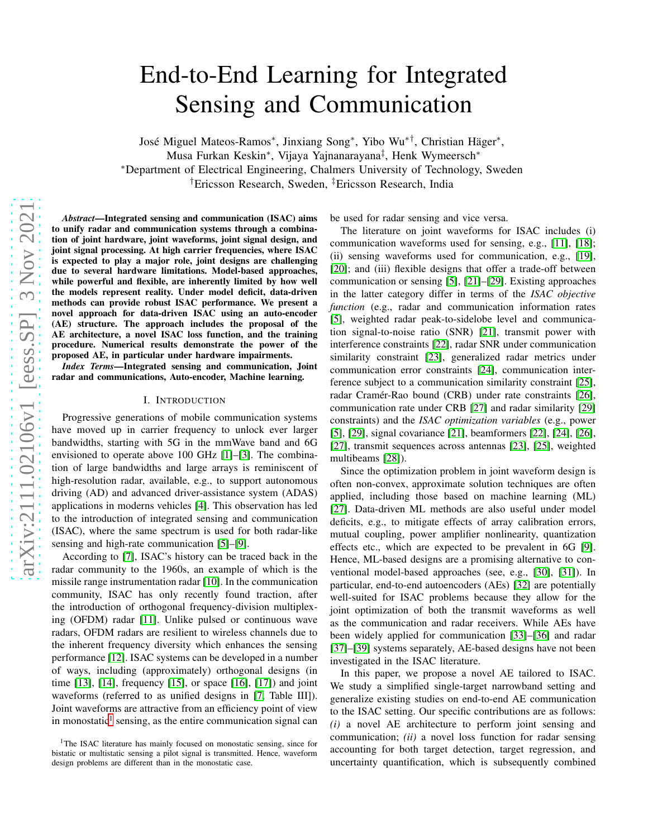# End-to-End Learning for Integrated Sensing and Communication

José Miguel Mateos-Ramos\*, Jinxiang Song\*, Yibo Wu\*<sup>†</sup>, Christian Häger\*, Musa Furkan Keskin<sup>∗</sup> , Vijaya Yajnanarayana‡ , Henk Wymeersch<sup>∗</sup> <sup>∗</sup>Department of Electrical Engineering, Chalmers University of Technology, Sweden †Ericsson Research, Sweden, ‡Ericsson Research, India

*Abstract*—Integrated sensing and communication (ISAC) aims to unify radar and communication systems through a combination of joint hardware, joint waveforms, joint signal design, and joint signal processing. At high carrier frequencies, where ISAC is expected to play a major role, joint designs are challenging due to several hardware limitations. Model-based approaches, while powerful and flexible, are inherently limited by how well the models represent reality. Under model deficit, data-driven methods can provide robust ISAC performance. We present a novel approach for data-driven ISAC using an auto-encoder (AE) structure. The approach includes the proposal of the AE architecture, a novel ISAC loss function, and the training procedure. Numerical results demonstrate the power of the proposed AE, in particular under hardware impairments.

<span id="page-0-1"></span>*Index Terms*—Integrated sensing and communication, Joint radar and communications, Auto-encoder, Machine learning.

## I. INTRODUCTION

Progressive generations of mobile communication systems have moved up in carrier frequency to unlock ever larger bandwidths, starting with 5G in the mmWave band and 6G envisioned to operate above 100 GHz [\[1\]](#page-5-0)–[\[3\]](#page-5-1). The combination of large bandwidths and large arrays is reminiscent of high-resolution radar, available, e.g., to support autonomous driving (AD) and advanced driver-assistance system (ADAS) applications in moderns vehicles [\[4\]](#page-5-2). This observation has led to the introduction of integrated sensing and communication (ISAC), where the same spectrum is used for both radar-like sensing and high-rate communication [\[5\]](#page-5-3)–[\[9\]](#page-5-4).

According to [\[7\]](#page-5-5), ISAC's history can be traced back in the radar community to the 1960s, an example of which is the missile range instrumentation radar [\[10\]](#page-5-6). In the communication community, ISAC has only recently found traction, after the introduction of orthogonal frequency-division multiplexing (OFDM) radar [\[11\]](#page-5-7). Unlike pulsed or continuous wave radars, OFDM radars are resilient to wireless channels due to the inherent frequency diversity which enhances the sensing performance [\[12\]](#page-5-8). ISAC systems can be developed in a number of ways, including (approximately) orthogonal designs (in time [\[13\]](#page-5-9), [\[14\]](#page-5-10), frequency [\[15\]](#page-5-11), or space [\[16\]](#page-5-12), [\[17\]](#page-5-13)) and joint waveforms (referred to as unified designs in [\[7,](#page-5-5) Table III]). Joint waveforms are attractive from an efficiency point of view in monostatic<sup>[1](#page-0-0)</sup> sensing, as the entire communication signal can be used for radar sensing and vice versa.

The literature on joint waveforms for ISAC includes (i) communication waveforms used for sensing, e.g., [\[11\]](#page-5-7), [\[18\]](#page-5-14); (ii) sensing waveforms used for communication, e.g., [\[19\]](#page-5-15), [\[20\]](#page-5-16); and (iii) flexible designs that offer a trade-off between communication or sensing [\[5\]](#page-5-3), [\[21\]](#page-5-17)–[\[29\]](#page-5-18). Existing approaches in the latter category differ in terms of the *ISAC objective function* (e.g., radar and communication information rates [\[5\]](#page-5-3), weighted radar peak-to-sidelobe level and communication signal-to-noise ratio (SNR) [\[21\]](#page-5-17), transmit power with interference constraints [\[22\]](#page-5-19), radar SNR under communication similarity constraint [\[23\]](#page-5-20), generalized radar metrics under communication error constraints [\[24\]](#page-5-21), communication interference subject to a communication similarity constraint [\[25\]](#page-5-22), radar Cramér-Rao bound (CRB) under rate constraints [\[26\]](#page-5-23), communication rate under CRB [\[27\]](#page-5-24) and radar similarity [\[29\]](#page-5-18) constraints) and the *ISAC optimization variables* (e.g., power [\[5\]](#page-5-3), [\[29\]](#page-5-18), signal covariance [\[21\]](#page-5-17), beamformers [\[22\]](#page-5-19), [\[24\]](#page-5-21), [\[26\]](#page-5-23), [\[27\]](#page-5-24), transmit sequences across antennas [\[23\]](#page-5-20), [\[25\]](#page-5-22), weighted multibeams [\[28\]](#page-5-25)).

Since the optimization problem in joint waveform design is often non-convex, approximate solution techniques are often applied, including those based on machine learning (ML) [\[27\]](#page-5-24). Data-driven ML methods are also useful under model deficits, e.g., to mitigate effects of array calibration errors, mutual coupling, power amplifier nonlinearity, quantization effects etc., which are expected to be prevalent in 6G [\[9\]](#page-5-4). Hence, ML-based designs are a promising alternative to conventional model-based approaches (see, e.g., [\[30\]](#page-5-26), [\[31\]](#page-5-27)). In particular, end-to-end autoencoders (AEs) [\[32\]](#page-5-28) are potentially well-suited for ISAC problems because they allow for the joint optimization of both the transmit waveforms as well as the communication and radar receivers. While AEs have been widely applied for communication [\[33\]](#page-5-29)–[\[36\]](#page-5-30) and radar [\[37\]](#page-5-31)–[\[39\]](#page-5-32) systems separately, AE-based designs have not been investigated in the ISAC literature.

In this paper, we propose a novel AE tailored to ISAC. We study a simplified single-target narrowband setting and generalize existing studies on end-to-end AE communication to the ISAC setting. Our specific contributions are as follows: *(i)* a novel AE architecture to perform joint sensing and communication; *(ii)* a novel loss function for radar sensing accounting for both target detection, target regression, and uncertainty quantification, which is subsequently combined

<span id="page-0-0"></span><sup>&</sup>lt;sup>1</sup>The ISAC literature has mainly focused on monostatic sensing, since for bistatic or multistatic sensing a pilot signal is transmitted. Hence, waveform design problems are different than in the monostatic case.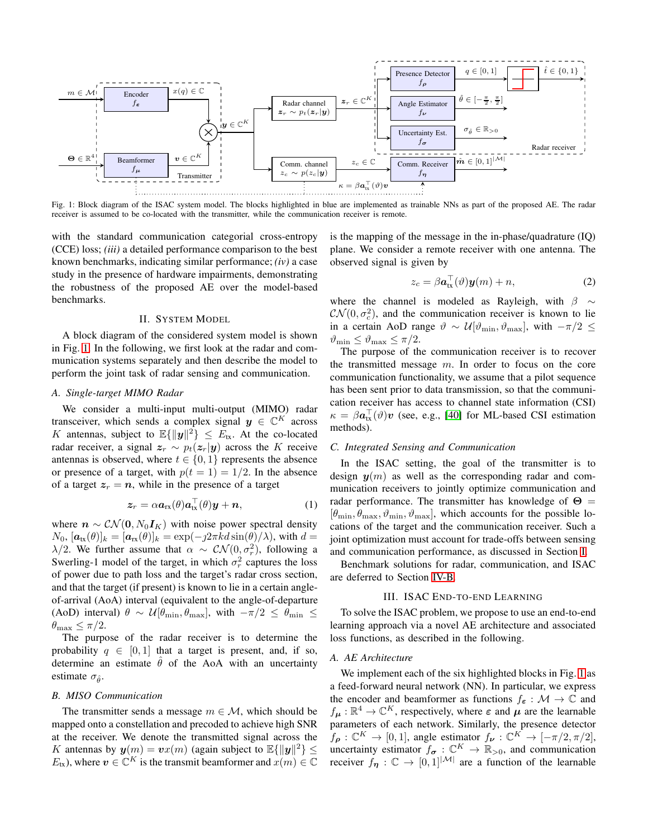<span id="page-1-0"></span>

Fig. 1: Block diagram of the ISAC system model. The blocks highlighted in blue are implemented as trainable NNs as part of the proposed AE. The radar receiver is assumed to be co-located with the transmitter, while the communication receiver is remote.

with the standard communication categorial cross-entropy (CCE) loss; *(iii)* a detailed performance comparison to the best known benchmarks, indicating similar performance; *(iv)* a case study in the presence of hardware impairments, demonstrating the robustness of the proposed AE over the model-based benchmarks.

#### II. SYSTEM MODEL

A block diagram of the considered system model is shown in Fig. [1.](#page-1-0) In the following, we first look at the radar and communication systems separately and then describe the model to perform the joint task of radar sensing and communication.

#### *A. Single-target MIMO Radar*

We consider a multi-input multi-output (MIMO) radar transceiver, which sends a complex signal  $y \in \mathbb{C}^K$  across K antennas, subject to  $\mathbb{E}\{\Vert \mathbf{y} \Vert^2\} \leq E_{\text{tx}}$ . At the co-located radar receiver, a signal  $z_r \sim p_t(z_r|\mathbf{y})$  across the K receive antennas is observed, where  $t \in \{0, 1\}$  represents the absence or presence of a target, with  $p(t = 1) = 1/2$ . In the absence of a target  $z_r = n$ , while in the presence of a target

$$
\boldsymbol{z}_r = \alpha \boldsymbol{a}_{\text{rx}}(\theta) \boldsymbol{a}_{\text{tx}}^\top(\theta) \boldsymbol{y} + \boldsymbol{n}, \tag{1}
$$

where  $n \sim \mathcal{CN}(\mathbf{0}, N_0 \mathbf{I}_K)$  with noise power spectral density  $N_0$ ,  $[\boldsymbol{a}_{tx}(\theta)]_k = [\boldsymbol{a}_{rx}(\theta)]_k = \exp(-\iint z \pi k d \sin(\theta) / \lambda)$ , with  $d =$  $\lambda/2$ . We further assume that  $\alpha \sim \mathcal{CN}(0, \sigma_r^2)$ , following a Swerling-1 model of the target, in which  $\sigma_r^2$  captures the loss of power due to path loss and the target's radar cross section, and that the target (if present) is known to lie in a certain angleof-arrival (AoA) interval (equivalent to the angle-of-departure (AoD) interval)  $\theta \sim \mathcal{U}[\theta_{\min}, \theta_{\max}]$ , with  $-\pi/2 \leq \theta_{\min} \leq$  $\theta_{\text{max}} \leq \pi/2$ .

The purpose of the radar receiver is to determine the probability  $q \in [0, 1]$  that a target is present, and, if so, determine an estimate  $\hat{\theta}$  of the AoA with an uncertainty estimate  $\sigma_{\hat{\theta}}$ .

## *B. MISO Communication*

The transmitter sends a message  $m \in \mathcal{M}$ , which should be mapped onto a constellation and precoded to achieve high SNR at the receiver. We denote the transmitted signal across the K antennas by  $y(m) = vx(m)$  (again subject to  $\mathbb{E}\{\Vert y \Vert^2\} \le$  $E_{tx}$ ), where  $v \in \mathbb{C}^K$  is the transmit beamformer and  $x(m) \in \mathbb{C}$ 

is the mapping of the message in the in-phase/quadrature (IQ) plane. We consider a remote receiver with one antenna. The observed signal is given by

$$
z_c = \beta \boldsymbol{a}_{\text{tx}}^{\top}(\vartheta)\boldsymbol{y}(m) + n,\tag{2}
$$

where the channel is modeled as Rayleigh, with  $\beta \sim$  $CN(0, \sigma_c^2)$ , and the communication receiver is known to lie in a certain AoD range  $\vartheta \sim \mathcal{U}[\vartheta_{\min}, \vartheta_{\max}]$ , with  $-\pi/2 \leq$  $\vartheta_{\min} \leq \vartheta_{\max} \leq \pi/2.$ 

The purpose of the communication receiver is to recover the transmitted message  $m$ . In order to focus on the core communication functionality, we assume that a pilot sequence has been sent prior to data transmission, so that the communication receiver has access to channel state information (CSI)  $\kappa = \beta \boldsymbol{a}_{\text{tx}}^{\top}(\vartheta) \boldsymbol{v}$  (see, e.g., [\[40\]](#page-5-33) for ML-based CSI estimation methods).

## *C. Integrated Sensing and Communication*

<span id="page-1-1"></span>In the ISAC setting, the goal of the transmitter is to design  $y(m)$  as well as the corresponding radar and communication receivers to jointly optimize communication and radar performance. The transmitter has knowledge of  $\Theta =$  $[\theta_{\min}, \theta_{\max}, \vartheta_{\min}, \vartheta_{\max}]$ , which accounts for the possible locations of the target and the communication receiver. Such a joint optimization must account for trade-offs between sensing and communication performance, as discussed in Section [I.](#page-0-1)

Benchmark solutions for radar, communication, and ISAC are deferred to Section [IV-B.](#page-2-0)

## III. ISAC END-TO-END LEARNING

To solve the ISAC problem, we propose to use an end-to-end learning approach via a novel AE architecture and associated loss functions, as described in the following.

#### *A. AE Architecture*

We implement each of the six highlighted blocks in Fig. [1](#page-1-0) as a feed-forward neural network (NN). In particular, we express the encoder and beamformer as functions  $f_{\epsilon}: \mathcal{M} \to \mathbb{C}$  and  $f_{\mu}: \mathbb{R}^4 \to \mathbb{C}^K$ , respectively, where  $\varepsilon$  and  $\mu$  are the learnable parameters of each network. Similarly, the presence detector  $f_{\rho}: \mathbb{C}^K \to [0, 1]$ , angle estimator  $f_{\nu}: \mathbb{C}^K \to [-\pi/2, \pi/2]$ , uncertainty estimator  $f_{\sigma}: \mathbb{C}^K \to \mathbb{R}_{>0}$ , and communication receiver  $f_n : \mathbb{C} \to [0,1]^{|\mathcal{M}|}$  are a function of the learnable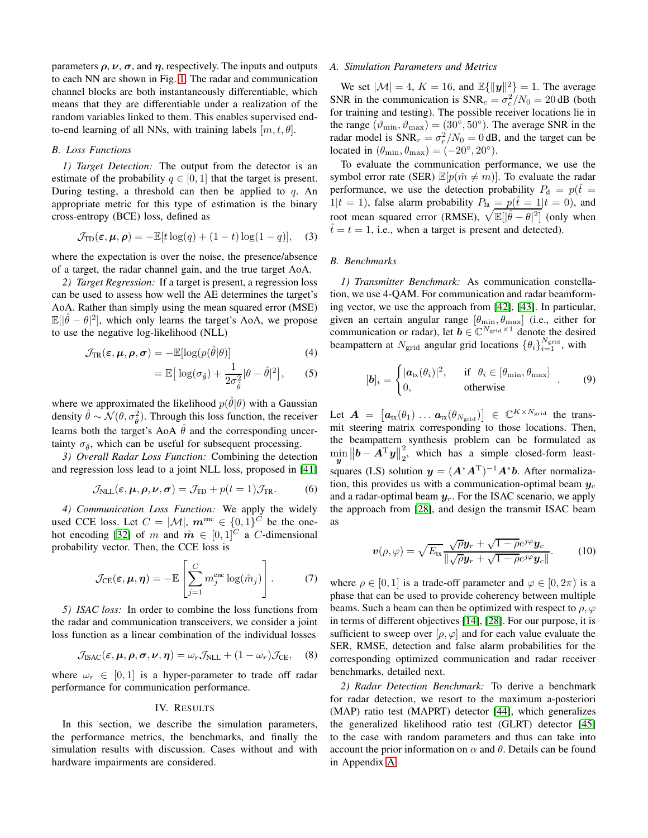parameters  $\rho$ ,  $\nu$ ,  $\sigma$ , and  $\eta$ , respectively. The inputs and outputs to each NN are shown in Fig. [1.](#page-1-0) The radar and communication channel blocks are both instantaneously differentiable, which means that they are differentiable under a realization of the random variables linked to them. This enables supervised endto-end learning of all NNs, with training labels  $[m, t, \theta]$ .

# *B. Loss Functions*

*1) Target Detection:* The output from the detector is an estimate of the probability  $q \in [0, 1]$  that the target is present. During testing, a threshold can then be applied to  $q$ . An appropriate metric for this type of estimation is the binary cross-entropy (BCE) loss, defined as

$$
\mathcal{J}_{\text{TD}}(\varepsilon, \mu, \rho) = -\mathbb{E}[t \log(q) + (1-t) \log(1-q)], \quad (3)
$$

where the expectation is over the noise, the presence/absence of a target, the radar channel gain, and the true target AoA.

*2) Target Regression:* If a target is present, a regression loss can be used to assess how well the AE determines the target's AoA. Rather than simply using the mean squared error (MSE)  $\mathbb{E}[|\hat{\theta} - \theta|^2]$ , which only learns the target's AoA, we propose to use the negative log-likelihood (NLL)

$$
\mathcal{J}_{\mathrm{TR}}(\varepsilon, \mu, \rho, \sigma) = -\mathbb{E}[\log(p(\hat{\theta}|\theta))]
$$
(4)

$$
= \mathbb{E}\big[\log(\sigma_{\hat{\theta}}) + \frac{1}{2\sigma_{\hat{\theta}}^2}|\theta - \hat{\theta}|^2\big],\qquad(5)
$$

where we approximated the likelihood  $p(\hat{\theta}|\theta)$  with a Gaussian density  $\hat{\theta} \sim \mathcal{N}(\theta, \sigma_{\hat{\theta}}^2)$ . Through this loss function, the receiver learns both the target's AoA  $\hat{\theta}$  and the corresponding uncertainty  $\sigma_{\hat{\theta}}$ , which can be useful for subsequent processing.

*3) Overall Radar Loss Function:* Combining the detection and regression loss lead to a joint NLL loss, proposed in [\[41\]](#page-5-34)

$$
\mathcal{J}_{\text{NLL}}(\varepsilon, \mu, \rho, \nu, \sigma) = \mathcal{J}_{\text{TD}} + p(t = 1) \mathcal{J}_{\text{TR}}.
$$
 (6)

*4) Communication Loss Function:* We apply the widely used CCE loss. Let  $C = |\mathcal{M}|$ ,  $m^{\text{enc}} \in \{0, 1\}^C$  be the one-hot encoding [\[32\]](#page-5-28) of m and  $\hat{\mathbf{m}} \in [0, 1]^C$  a C-dimensional probability vector. Then, the CCE loss is

$$
\mathcal{J}_{\text{CE}}(\varepsilon, \mu, \eta) = -\mathbb{E}\left[\sum_{j=1}^{C} m_j^{\text{enc}} \log(\hat{m}_j)\right].
$$
 (7)

*5) ISAC loss:* In order to combine the loss functions from the radar and communication transceivers, we consider a joint loss function as a linear combination of the individual losses

<span id="page-2-2"></span>
$$
\mathcal{J}_{\text{ISAC}}(\varepsilon, \boldsymbol{\mu}, \boldsymbol{\rho}, \boldsymbol{\sigma}, \boldsymbol{\nu}, \boldsymbol{\eta}) = \omega_r \mathcal{J}_{\text{NLL}} + (1 - \omega_r) \mathcal{J}_{\text{CE}}, \quad (8)
$$

where  $\omega_r \in [0, 1]$  is a hyper-parameter to trade off radar performance for communication performance.

#### IV. RESULTS

In this section, we describe the simulation parameters, the performance metrics, the benchmarks, and finally the simulation results with discussion. Cases without and with hardware impairments are considered.

## *A. Simulation Parameters and Metrics*

We set  $|\mathcal{M}| = 4$ ,  $K = 16$ , and  $\mathbb{E}\{\|\mathbf{y}\|_{\infty}^{2}\} = 1$ . The average SNR in the communication is  $\text{SNR}_c = \sigma_c^2/N_0 = 20 \,\text{dB}$  (both for training and testing). The possible receiver locations lie in the range  $(\vartheta_{\min}, \vartheta_{\max}) = (30^{\circ}, 50^{\circ})$ . The average SNR in the radar model is  $SNR_r = \sigma_r^2/N_0 = 0$  dB, and the target can be located in  $(\theta_{\min}, \theta_{\max}) = (-20^{\circ}, 20^{\circ}).$ 

To evaluate the communication performance, we use the symbol error rate (SER)  $\mathbb{E}[p(\hat{m} \neq m)]$ . To evaluate the radar performance, we use the detection probability  $P_d = p(\hat{t} =$  $1|t = 1$ , false alarm probability  $P_{fa} = p(\hat{t} = 1|t = 0)$ , and root mean squared error (RMSE),  $\sqrt{\mathbb{E}[|\hat{\theta} - \theta|^2]}$  (only when  $t = t = 1$ , i.e., when a target is present and detected).

# <span id="page-2-1"></span><span id="page-2-0"></span>*B. Benchmarks*

*1) Transmitter Benchmark:* As communication constellation, we use 4-QAM. For communication and radar beamforming vector, we use the approach from [\[42\]](#page-5-35), [\[43\]](#page-5-36). In particular, given an certain angular range  $[\theta_{\min}, \theta_{\max}]$  (i.e., either for communication or radar), let  $\mathbf{b} \in \mathbb{C}^{N_{\text{grid}} \times 1}$  denote the desired beampattern at  $N_{\text{grid}}$  angular grid locations  $\{\theta_i\}_{i=1}^{N_{\text{grid}}}$ , with

$$
[\boldsymbol{b}]_i = \begin{cases} |\boldsymbol{a}_{\text{tx}}(\theta_i)|^2, & \text{if } \theta_i \in [\theta_{\min}, \theta_{\max}] \\ 0, & \text{otherwise} \end{cases} . \tag{9}
$$

<span id="page-2-3"></span>Let  $\mathbf{A} = [\mathbf{a}_{tx}(\theta_1) \dots \mathbf{a}_{tx}(\theta_{N_{grid}})] \in \mathbb{C}^{K \times N_{grid}}$  the transmit steering matrix corresponding to those locations. Then, the beampattern synthesis problem can be formulated as  $\mathop{\rm min\,}\limits_{\bm{y}}$  $\left\Vert \boldsymbol{b}-\boldsymbol{A}^{\mathrm{T}}\boldsymbol{y}\right\Vert _{2}^{2}$  $\frac{2}{2}$ , which has a simple closed-form leastsquares (LS) solution  $y = (A^*A^T)^{-1}A^*b$ . After normalization, this provides us with a communication-optimal beam  $y_c$ and a radar-optimal beam  $y_r$ . For the ISAC scenario, we apply the approach from [\[28\]](#page-5-25), and design the transmit ISAC beam as

$$
\boldsymbol{v}(\rho,\varphi) = \sqrt{E_{\text{tx}}}\frac{\sqrt{\rho}\boldsymbol{y}_r + \sqrt{1-\rho}e^{\jmath\varphi}\boldsymbol{y}_c}{\|\sqrt{\rho}\boldsymbol{y}_r + \sqrt{1-\rho}e^{\jmath\varphi}\boldsymbol{y}_c\|}.
$$
 (10)

where  $\rho \in [0, 1]$  is a trade-off parameter and  $\varphi \in [0, 2\pi)$  is a phase that can be used to provide coherency between multiple beams. Such a beam can then be optimized with respect to  $\rho$ ,  $\varphi$ in terms of different objectives [\[14\]](#page-5-10), [\[28\]](#page-5-25). For our purpose, it is sufficient to sweep over  $[\rho, \varphi]$  and for each value evaluate the SER, RMSE, detection and false alarm probabilities for the corresponding optimized communication and radar receiver benchmarks, detailed next.

*2) Radar Detection Benchmark:* To derive a benchmark for radar detection, we resort to the maximum a-posteriori (MAP) ratio test (MAPRT) detector [\[44\]](#page-5-37), which generalizes the generalized likelihood ratio test (GLRT) detector [\[45\]](#page-5-38) to the case with random parameters and thus can take into account the prior information on  $\alpha$  and  $\theta$ . Details can be found in Appendix [A.](#page-4-0)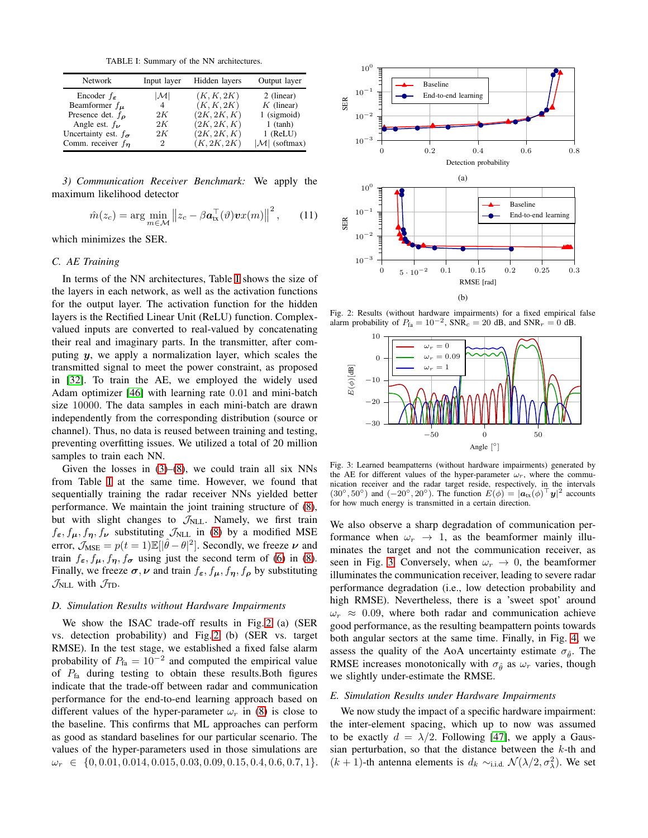TABLE I: Summary of the NN architectures.

<span id="page-3-0"></span>

| <b>Network</b>                | Input layer     | Hidden layers | Output layer              |
|-------------------------------|-----------------|---------------|---------------------------|
| Encoder $f_{\epsilon}$        | $ \mathcal{M} $ | (K, K, 2K)    | 2 (linear)                |
| Beamformer $f_{\mu}$          | 4               | (K, K, 2K)    | $K$ (linear)              |
| Presence det. $f_{\rho}$      | 2K              | (2K, 2K, K)   | $1$ (sigmoid)             |
| Angle est. $f_{\nu}$          | 2K              | (2K, 2K, K)   | $1$ (tanh)                |
| Uncertainty est. $f_{\sigma}$ | 2K              | (2K, 2K, K)   | $1$ (ReLU)                |
| Comm. receiver $f_n$          | 2               | (K, 2K, 2K)   | $ \mathcal{M} $ (softmax) |

*3) Communication Receiver Benchmark:* We apply the maximum likelihood detector

$$
\hat{m}(z_c) = \arg\min_{m \in \mathcal{M}} ||z_c - \beta \boldsymbol{a}_{\text{tx}}^\top(\vartheta) \boldsymbol{v} x(m)||^2, \qquad (11)
$$

which minimizes the SER.

#### *C. AE Training*

In terms of the NN architectures, Table [I](#page-3-0) shows the size of the layers in each network, as well as the activation functions for the output layer. The activation function for the hidden layers is the Rectified Linear Unit (ReLU) function. Complexvalued inputs are converted to real-valued by concatenating their real and imaginary parts. In the transmitter, after computing  $y$ , we apply a normalization layer, which scales the transmitted signal to meet the power constraint, as proposed in [\[32\]](#page-5-28). To train the AE, we employed the widely used Adam optimizer [\[46\]](#page-5-39) with learning rate 0.01 and mini-batch size 10000. The data samples in each mini-batch are drawn independently from the corresponding distribution (source or channel). Thus, no data is reused between training and testing, preventing overfitting issues. We utilized a total of 20 million samples to train each NN.

Given the losses in  $(3)$ – $(8)$ , we could train all six NNs from Table [I](#page-3-0) at the same time. However, we found that sequentially training the radar receiver NNs yielded better performance. We maintain the joint training structure of [\(8\)](#page-2-2), but with slight changes to  $\mathcal{J}_{NLL}$ . Namely, we first train  $f_{\epsilon}, f_{\mu}, f_{\eta}, f_{\nu}$  substituting  $\mathcal{J}_{NLL}$  in [\(8\)](#page-2-2) by a modified MSE error,  $\mathcal{J}_{MSE} = p(t=1)\mathbb{E}[|\hat{\theta} - \theta|^2]$ . Secondly, we freeze  $\nu$  and train  $f_{\epsilon}$ ,  $f_{\mu}$ ,  $f_{\eta}$ ,  $f_{\sigma}$  using just the second term of [\(6\)](#page-2-3) in [\(8\)](#page-2-2). Finally, we freeze  $\sigma, \nu$  and train  $f_{\epsilon}, f_{\mu}, f_{\eta}, f_{\rho}$  by substituting  $\mathcal{J}_{\text{NLL}}$  with  $\mathcal{J}_{\text{TD}}$ .

## *D. Simulation Results without Hardware Impairments*

We show the ISAC trade-off results in Fig. [2](#page-3-1) (a) (SER vs. detection probability) and Fig. [2](#page-3-1) (b) (SER vs. target RMSE). In the test stage, we established a fixed false alarm probability of  $P_{fa} = 10^{-2}$  and computed the empirical value of  $P_{fa}$  during testing to obtain these results. Both figures indicate that the trade-off between radar and communication performance for the end-to-end learning approach based on different values of the hyper-parameter  $\omega_r$  in [\(8\)](#page-2-2) is close to the baseline. This confirms that ML approaches can perform as good as standard baselines for our particular scenario. The values of the hyper-parameters used in those simulations are  $\omega_r \in \{0, 0.01, 0.014, 0.015, 0.03, 0.09, 0.15, 0.4, 0.6, 0.7, 1\}.$ 

<span id="page-3-1"></span>

<span id="page-3-2"></span>Fig. 2: Results (without hardware impairments) for a fixed empirical false alarm probability of  $P_{fa} = 10^{-2}$ ,  $\text{SNR}_c = 20$  dB, and  $\text{SNR}_r = 0$  dB.



Fig. 3: Learned beampatterns (without hardware impairments) generated by the AE for different values of the hyper-parameter  $\omega_r$ , where the communication receiver and the radar target reside, respectively, in the intervals (30°, 50°) and  $(-20^\circ, 20^\circ)$ . The function  $E(\phi) = |\mathbf{a}_{\text{tx}}(\phi)|^{\top} \mathbf{y}|^2$  accounts for how much energy is transmitted in a certain direction.

We also observe a sharp degradation of communication performance when  $\omega_r \rightarrow 1$ , as the beamformer mainly illuminates the target and not the communication receiver, as seen in Fig. [3.](#page-3-2) Conversely, when  $\omega_r \to 0$ , the beamformer illuminates the communication receiver, leading to severe radar performance degradation (i.e., low detection probability and high RMSE). Nevertheless, there is a 'sweet spot' around  $\omega_r \approx 0.09$ , where both radar and communication achieve good performance, as the resulting beampattern points towards both angular sectors at the same time. Finally, in Fig. [4,](#page-4-1) we assess the quality of the AoA uncertainty estimate  $\sigma_{\hat{\theta}}$ . The RMSE increases monotonically with  $\sigma_{\hat{\theta}}$  as  $\omega_r$  varies, though we slightly under-estimate the RMSE.

#### *E. Simulation Results under Hardware Impairments*

We now study the impact of a specific hardware impairment: the inter-element spacing, which up to now was assumed to be exactly  $d = \lambda/2$ . Following [\[47\]](#page-5-40), we apply a Gaussian perturbation, so that the distance between the  $k$ -th and  $(k + 1)$ -th antenna elements is  $d_k \sim_{i.i.d.} \mathcal{N}(\lambda/2, \sigma_\lambda^2)$ . We set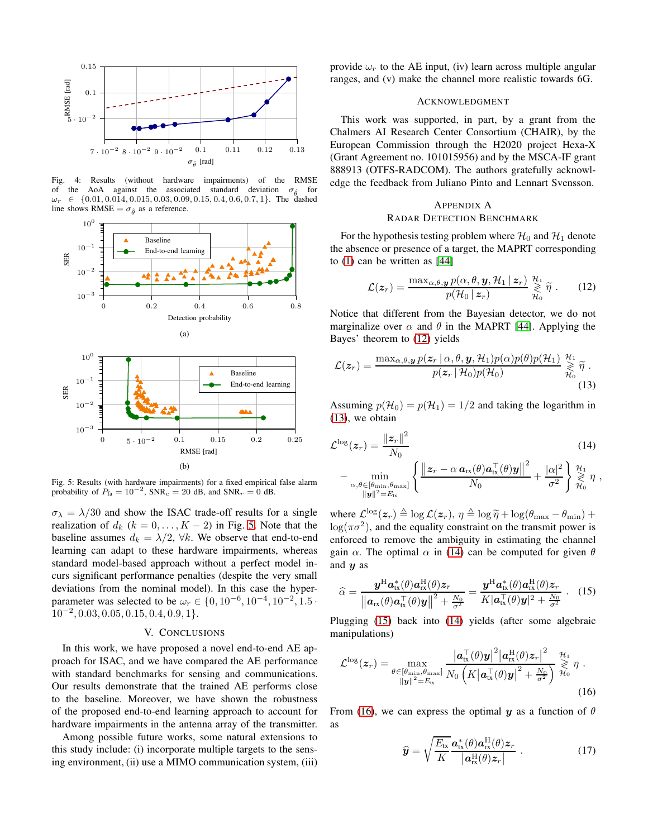<span id="page-4-1"></span>

Fig. 4: Results (without hardware impairments) of the RMSE of the AoA against the associated standard deviation  $\sigma_{\hat{a}}$  for AoA against the associated standard deviation  $\sigma_{\hat{\theta}}$  for  $\omega_r \in \{0.01, 0.014, 0.015, 0.03, 0.09, 0.15, 0.4, 0.6, 0.7, 1\}$ . The dashed line shows RMSE =  $\sigma_{\hat{\theta}}$  as a reference.

<span id="page-4-2"></span>

Fig. 5: Results (with hardware impairments) for a fixed empirical false alarm probability of  $P_{fa} = 10^{-2}$ , SNR<sub>c</sub> = 20 dB, and SNR<sub>r</sub> = 0 dB.

 $\sigma_{\lambda} = \lambda/30$  and show the ISAC trade-off results for a single realization of  $d_k$  ( $k = 0, \ldots, K - 2$ ) in Fig. [5.](#page-4-2) Note that the baseline assumes  $d_k = \lambda/2$ ,  $\forall k$ . We observe that end-to-end learning can adapt to these hardware impairments, whereas standard model-based approach without a perfect model incurs significant performance penalties (despite the very small deviations from the nominal model). In this case the hyperparameter was selected to be  $\omega_r \in \{0, 10^{-6}, 10^{-4}, 10^{-2}, 1.5\}$ . 10−<sup>2</sup> , 0.03, 0.05, 0.15, 0.4, 0.9, 1}.

## V. CONCLUSIONS

In this work, we have proposed a novel end-to-end AE approach for ISAC, and we have compared the AE performance with standard benchmarks for sensing and communications. Our results demonstrate that the trained AE performs close to the baseline. Moreover, we have shown the robustness of the proposed end-to-end learning approach to account for hardware impairments in the antenna array of the transmitter.

Among possible future works, some natural extensions to this study include: (i) incorporate multiple targets to the sensing environment, (ii) use a MIMO communication system, (iii) provide  $\omega_r$  to the AE input, (iv) learn across multiple angular ranges, and (v) make the channel more realistic towards 6G.

#### ACKNOWLEDGMENT

This work was supported, in part, by a grant from the Chalmers AI Research Center Consortium (CHAIR), by the European Commission through the H2020 project Hexa-X (Grant Agreement no. 101015956) and by the MSCA-IF grant 888913 (OTFS-RADCOM). The authors gratefully acknowledge the feedback from Juliano Pinto and Lennart Svensson.

## <span id="page-4-3"></span><span id="page-4-0"></span>APPENDIX A RADAR DETECTION BENCHMARK

For the hypothesis testing problem where  $\mathcal{H}_0$  and  $\mathcal{H}_1$  denote the absence or presence of a target, the MAPRT corresponding to  $(1)$  can be written as  $[44]$ 

<span id="page-4-4"></span>
$$
\mathcal{L}(\boldsymbol{z}_r) = \frac{\max_{\alpha,\theta,\boldsymbol{y}} p(\alpha,\theta,\boldsymbol{y},\mathcal{H}_1 \,|\, \boldsymbol{z}_r)}{p(\mathcal{H}_0 \,|\, \boldsymbol{z}_r)} \mathop{\geqslant}_{\mathcal{H}_0}^{\mathcal{H}_1} \widetilde{\eta} \ . \tag{12}
$$

Notice that different from the Bayesian detector, we do not marginalize over  $\alpha$  and  $\theta$  in the MAPRT [\[44\]](#page-5-37). Applying the Bayes' theorem to [\(12\)](#page-4-3) yields

$$
\mathcal{L}(\boldsymbol{z}_r) = \frac{\max_{\alpha,\theta,\boldsymbol{y}} p(\boldsymbol{z}_r \,|\, \alpha,\theta,\boldsymbol{y},\mathcal{H}_1) p(\alpha) p(\theta) p(\mathcal{H}_1)}{p(\boldsymbol{z}_r \,|\, \mathcal{H}_0) p(\mathcal{H}_0)} \mathop{\geqslant}_{\mathcal{H}_0}^{\mathcal{H}_1} \widetilde{\eta} \ . \tag{13}
$$

Assuming  $p(\mathcal{H}_0) = p(\mathcal{H}_1) = 1/2$  and taking the logarithm in [\(13\)](#page-4-4), we obtain

<span id="page-4-5"></span>
$$
\mathcal{L}^{\log}(z_r) = \frac{\|z_r\|^2}{N_0}
$$
\n
$$
-\min_{\substack{\alpha,\theta \in [\theta_{\min},\theta_{\max}] \\ ||\mathbf{y}||^2 = E_{\text{tx}}}} \left\{ \frac{\|z_r - \alpha \, a_{\text{rx}}(\theta) a_{\text{tx}}^\top(\theta) \mathbf{y}\|^2}{N_0} + \frac{|\alpha|^2}{\sigma^2} \right\} \underset{\mathcal{H}_0}{\overset{\mathcal{H}_1}{\geq}} \eta,
$$
\n(14)

where  $\mathcal{L}^{\log}(z_r) \triangleq \log \mathcal{L}(z_r)$ ,  $\eta \triangleq \log \widetilde{\eta} + \log(\theta_{\max} - \theta_{\min}) +$  $log(\pi \sigma^2)$ , and the equality constraint on the transmit power is enforced to remove the ambiguity in estimating the channel gain  $\alpha$ . The optimal  $\alpha$  in [\(14\)](#page-4-5) can be computed for given  $\theta$ and  $y$  as

$$
\widehat{\alpha} = \frac{\boldsymbol{y}^{\mathrm{H}} \boldsymbol{a}_{\mathrm{tx}}^*(\theta) \boldsymbol{a}_{\mathrm{rx}}^{\mathrm{H}}(\theta) \boldsymbol{z}_r}{\left\| \boldsymbol{a}_{\mathrm{rx}}(\theta) \boldsymbol{a}_{\mathrm{tx}}^{\mathrm{T}}(\theta) \boldsymbol{y} \right\|^2 + \frac{N_0}{\sigma^2}} = \frac{\boldsymbol{y}^{\mathrm{H}} \boldsymbol{a}_{\mathrm{tx}}^*(\theta) \boldsymbol{a}_{\mathrm{rx}}^{\mathrm{H}}(\theta) \boldsymbol{z}_r}{K |\boldsymbol{a}_{\mathrm{tx}}^{\mathrm{T}}(\theta) \boldsymbol{y}|^2 + \frac{N_0}{\sigma^2}} \ . \tag{15}
$$

Plugging [\(15\)](#page-4-6) back into [\(14\)](#page-4-5) yields (after some algebraic manipulations)

$$
\mathcal{L}^{\log}(z_r) = \max_{\substack{\theta \in [\theta_{\min}, \theta_{\max}]} \theta \in E_{\text{tx}}} \frac{|\boldsymbol{a}_{\text{tx}}^{\top}(\theta)\boldsymbol{y}|^2 |\boldsymbol{a}_{\text{rx}}^{\text{H}}(\theta)z_r|^2}{N_0 \left(K|\boldsymbol{a}_{\text{tx}}^{\top}(\theta)\boldsymbol{y}|^2 + \frac{N_0}{\sigma^2}\right)} \mathop{\gtrless} \limits_{\mathcal{H}_0} \eta \; .
$$
\n(16)

From [\(16\)](#page-4-7), we can express the optimal y as a function of  $\theta$ as

<span id="page-4-8"></span><span id="page-4-7"></span><span id="page-4-6"></span>
$$
\hat{y} = \sqrt{\frac{E_{\rm tx}}{K}} \frac{\mathbf{a}_{\rm tx}^*(\theta) \mathbf{a}_{\rm rx}^{\rm H}(\theta) z_r}{|\mathbf{a}_{\rm tx}^{\rm H}(\theta) z_r|} \ . \tag{17}
$$